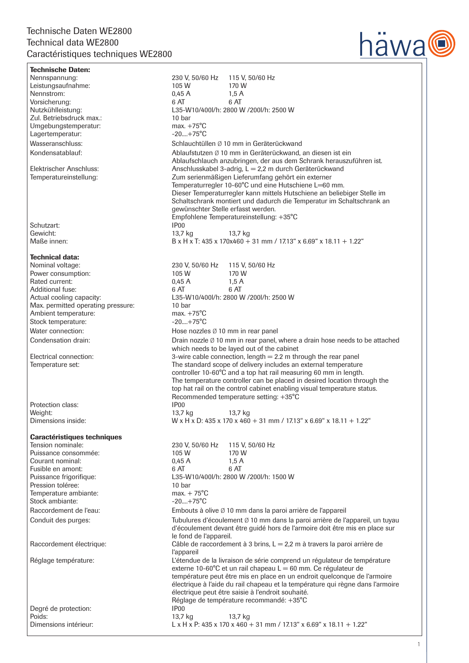## Technische Daten WE2800 Technical data WE2800 Caractéristiques techniques WE2800



| <b>Technische Daten:</b>                         |                                |                                                                                                                               |
|--------------------------------------------------|--------------------------------|-------------------------------------------------------------------------------------------------------------------------------|
| Nennspannung:                                    |                                | 230 V, 50/60 Hz 115 V, 50/60 Hz                                                                                               |
| Leistungsaufnahme:                               | 105 W                          | 170 W                                                                                                                         |
| Nennstrom:                                       | 0.45A                          | 1,5A                                                                                                                          |
| Vorsicherung:                                    | 6 AT                           | 6 AT                                                                                                                          |
| Nutzkühlleistung:                                |                                | L35-W10/400l/h: 2800 W /200l/h: 2500 W                                                                                        |
| Zul. Betriebsdruck max.:<br>Umgebungstemperatur: | 10 bar<br>max. $+75^{\circ}$ C |                                                                                                                               |
| Lagertemperatur:                                 | $-20+75^{\circ}C$              |                                                                                                                               |
| Wasseranschluss:                                 |                                | Schlauchtüllen Ø 10 mm in Geräterückwand                                                                                      |
|                                                  |                                |                                                                                                                               |
| Kondensatablauf:                                 |                                | Ablaufstutzen Ø 10 mm in Geräterückwand, an diesen ist ein                                                                    |
| Elektrischer Anschluss:                          |                                | Ablaufschlauch anzubringen, der aus dem Schrank herauszuführen ist.<br>Anschlusskabel 3-adrig, L = 2,2 m durch Geräterückwand |
| Temperatureinstellung:                           |                                | Zum serienmäßigen Lieferumfang gehört ein externer                                                                            |
|                                                  |                                | Temperaturregler 10-60°C und eine Hutschiene L=60 mm.                                                                         |
|                                                  |                                | Dieser Temperaturregler kann mittels Hutschiene an beliebiger Stelle im                                                       |
|                                                  |                                | Schaltschrank montiert und dadurch die Temperatur im Schaltschrank an                                                         |
|                                                  |                                | gewünschter Stelle erfasst werden.                                                                                            |
|                                                  |                                | Empfohlene Temperatureinstellung: +35°C                                                                                       |
| Schutzart:                                       | IP <sub>00</sub>               |                                                                                                                               |
| Gewicht:                                         | 13,7 kg                        | 13,7 kg                                                                                                                       |
| Maße innen:                                      |                                | B x H x T: 435 x 170x460 + 31 mm / 17.13" x 6.69" x 18.11 + 1.22"                                                             |
| <b>Technical data:</b>                           |                                |                                                                                                                               |
| Nominal voltage:                                 | 230 V, 50/60 Hz                | 115 V, 50/60 Hz                                                                                                               |
| Power consumption:                               | 105 W                          | 170 W                                                                                                                         |
| Rated current:                                   | 0.45A                          | 1,5A                                                                                                                          |
| Additional fuse:                                 | 6 AT                           | 6 AT                                                                                                                          |
| Actual cooling capacity:                         |                                | L35-W10/400l/h: 2800 W /200l/h: 2500 W                                                                                        |
| Max. permitted operating pressure:               | 10 bar                         |                                                                                                                               |
| Ambient temperature:                             | max. $+75^{\circ}$ C           |                                                                                                                               |
| Stock temperature:                               | $-20+75^{\circ}C$              |                                                                                                                               |
| Water connection:                                |                                | Hose nozzles $\emptyset$ 10 mm in rear panel                                                                                  |
| Condensation drain:                              |                                | Drain nozzle Ø 10 mm in rear panel, where a drain hose needs to be attached                                                   |
|                                                  |                                | which needs to be layed out of the cabinet                                                                                    |
| Electrical connection:                           |                                | 3-wire cable connection, length $= 2.2$ m through the rear panel                                                              |
| Temperature set:                                 |                                | The standard scope of delivery includes an external temperature                                                               |
|                                                  |                                | controller 10-60°C and a top hat rail measuring 60 mm in length.                                                              |
|                                                  |                                | The temperature controller can be placed in desired location through the                                                      |
|                                                  |                                | top hat rail on the control cabinet enabling visual temperature status.<br>Recommended temperature setting: +35°C             |
| Protection class:                                | IP <sub>00</sub>               |                                                                                                                               |
| Weight:                                          | 13,7 kg                        | 13,7 kg                                                                                                                       |
| Dimensions inside:                               |                                | W x H x D: 435 x 170 x 460 + 31 mm / 17.13" x 6.69" x 18.11 + 1.22"                                                           |
|                                                  |                                |                                                                                                                               |
| <b>Caractéristiques techniques</b>               |                                |                                                                                                                               |
| Tension nominale:                                | 230 V, 50/60 Hz                | 115 V, 50/60 Hz                                                                                                               |
| Puissance consommée:                             | 105 W                          | 170 W                                                                                                                         |
| Courant nominal:                                 | 0.45A                          | 1,5A                                                                                                                          |
| Fusible en amont:                                | 6 AT                           | 6 AT                                                                                                                          |
| Puissance frigorifique:<br>Pression toléree:     | 10 bar                         | L35-W10/400l/h: 2800 W /200l/h: 1500 W                                                                                        |
| Temperature ambiante:                            | $max. + 75^{\circ}C$           |                                                                                                                               |
| Stock ambiante:                                  | $-20+75^{\circ}C$              |                                                                                                                               |
| Raccordement de l'eau:                           |                                | Embouts à olive Ø 10 mm dans la paroi arrière de l'appareil                                                                   |
| Conduit des purges:                              |                                | Tubulures d'écoulement Ø 10 mm dans la paroi arrière de l'appareil, un tuyau                                                  |
|                                                  |                                | d'écoulement devant être guidé hors de l'armoire doit être mis en place sur                                                   |
|                                                  | le fond de l'appareil.         |                                                                                                                               |
| Raccordement électrique:                         |                                | Câble de raccordement à 3 brins, $L = 2.2$ m à travers la paroi arrière de                                                    |
|                                                  | l'appareil                     |                                                                                                                               |
| Réglage température:                             |                                | L'étendue de la livraison de série comprend un régulateur de température                                                      |
|                                                  |                                | externe 10-60°C et un rail chapeau L = 60 mm. Ce régulateur de                                                                |
|                                                  |                                | température peut être mis en place en un endroit quelconque de l'armoire                                                      |
|                                                  |                                | électrique à l'aide du rail chapeau et la température qui règne dans l'armoire                                                |
|                                                  |                                | électrique peut être saisie à l'endroit souhaité.                                                                             |
|                                                  |                                | Réglage de température recommandé: +35°C                                                                                      |
| Degré de protection:                             | IP <sub>00</sub>               |                                                                                                                               |
| Poids:<br>Dimensions intérieur:                  | 13,7 kg                        | 13,7 kg<br>L x H x P: 435 x 170 x 460 + 31 mm / 17.13" x 6.69" x 18.11 + 1.22"                                                |
|                                                  |                                |                                                                                                                               |